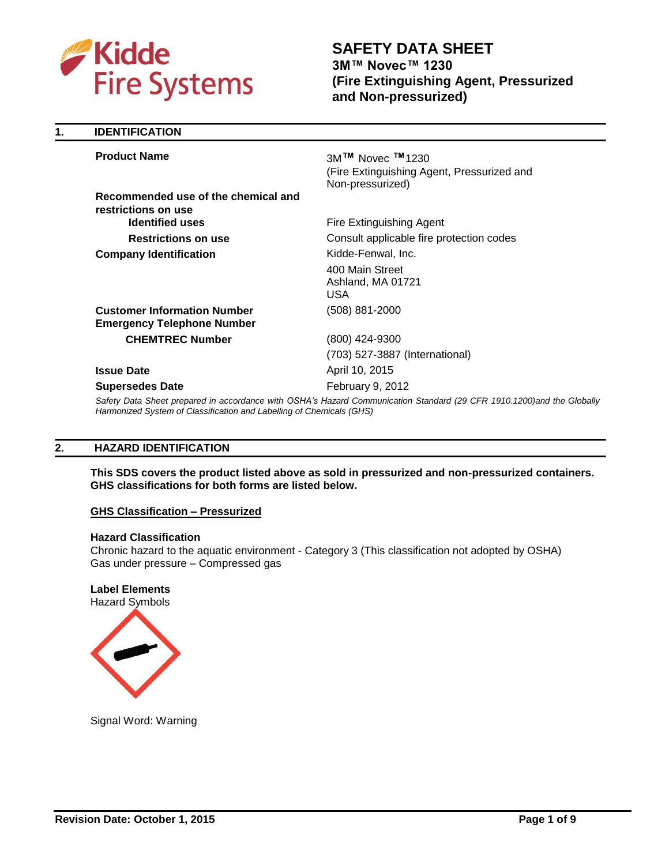

**1. IDENTIFICATION**

# **SAFETY DATA SHEET 3M™ Novec™ 1230 (Fire Extinguishing Agent, Pressurized and Non-pressurized)**

| <b>Product Name</b>                                                     | 3M™ Novec ™1230<br>(Fire Extinguishing Agent, Pressurized and<br>Non-pressurized) |
|-------------------------------------------------------------------------|-----------------------------------------------------------------------------------|
| Recommended use of the chemical and                                     |                                                                                   |
| restrictions on use                                                     |                                                                                   |
| <b>Identified uses</b>                                                  | Fire Extinguishing Agent                                                          |
| <b>Restrictions on use</b>                                              | Consult applicable fire protection codes                                          |
| <b>Company Identification</b>                                           | Kidde-Fenwal, Inc.                                                                |
|                                                                         | 400 Main Street<br>Ashland, MA 01721<br>USA.                                      |
| <b>Customer Information Number</b><br><b>Emergency Telephone Number</b> | (508) 881-2000                                                                    |
| <b>CHEMTREC Number</b>                                                  | (800) 424-9300                                                                    |
|                                                                         | (703) 527-3887 (International)                                                    |
| <b>Issue Date</b>                                                       | April 10, 2015                                                                    |
| <b>Supersedes Date</b>                                                  | February 9, 2012                                                                  |

*Safety Data Sheet prepared in accordance with OSHA's Hazard Communication Standard (29 CFR 1910.1200)and the Globally Harmonized System of Classification and Labelling of Chemicals (GHS)*

# **2. HAZARD IDENTIFICATION**

**This SDS covers the product listed above as sold in pressurized and non-pressurized containers. GHS classifications for both forms are listed below.**

# **GHS Classification – Pressurized**

#### **Hazard Classification**

Chronic hazard to the aquatic environment - Category 3 (This classification not adopted by OSHA) Gas under pressure – Compressed gas

# **Label Elements**

Hazard Symbols



Signal Word: Warning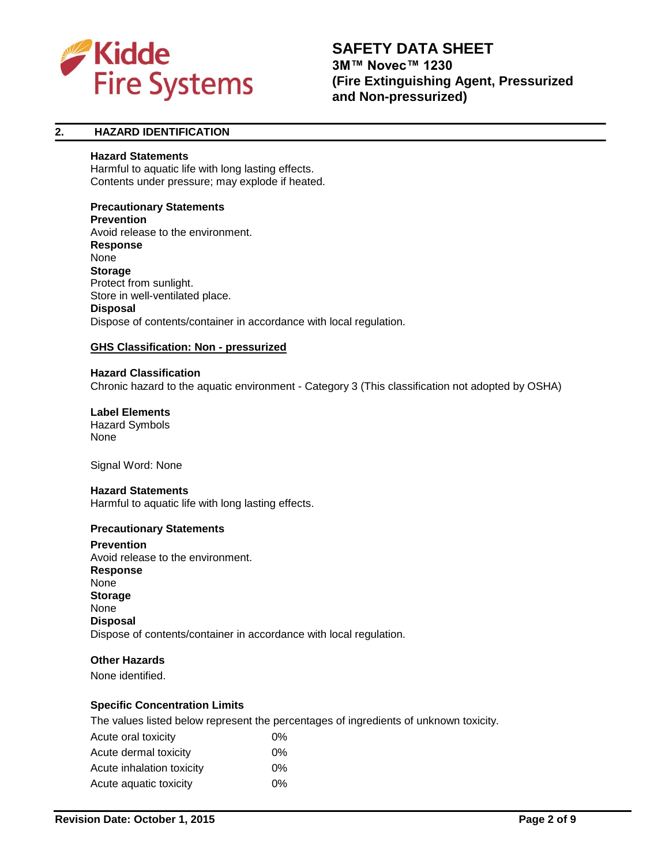

# **2. HAZARD IDENTIFICATION**

# **Hazard Statements**

Harmful to aquatic life with long lasting effects. Contents under pressure; may explode if heated.

# **Precautionary Statements**

**Prevention** Avoid release to the environment. **Response** None **Storage** Protect from sunlight. Store in well-ventilated place. **Disposal** Dispose of contents/container in accordance with local regulation.

# **GHS Classification: Non - pressurized**

### **Hazard Classification**

Chronic hazard to the aquatic environment - Category 3 (This classification not adopted by OSHA)

# **Label Elements**

Hazard Symbols None

Signal Word: None

#### **Hazard Statements**

Harmful to aquatic life with long lasting effects.

# **Precautionary Statements**

**Prevention** Avoid release to the environment. **Response** None **Storage** None **Disposal** Dispose of contents/container in accordance with local regulation.

# **Other Hazards**

None identified.

# **Specific Concentration Limits**

The values listed below represent the percentages of ingredients of unknown toxicity.

| $0\%$ |
|-------|
| $0\%$ |
| $0\%$ |
| $0\%$ |
|       |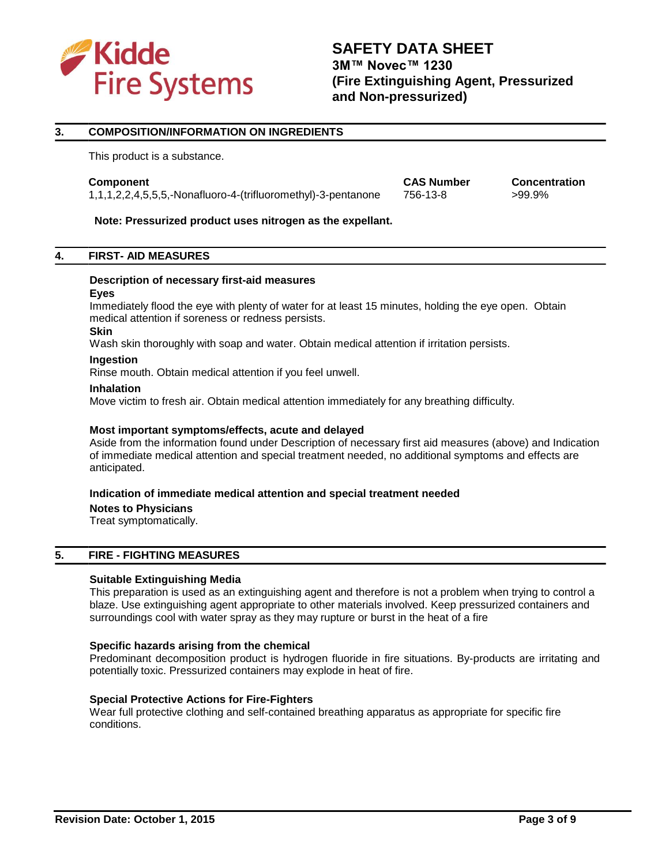

# **3. COMPOSITION/INFORMATION ON INGREDIENTS**

This product is a substance.

1,1,1,2,2,4,5,5,5,-Nonafluoro-4-(trifluoromethyl)-3-pentanone 756-13-8 >99.9%

**Component CAS Number Concentration**

### **Note: Pressurized product uses nitrogen as the expellant.**

### **4. FIRST- AID MEASURES**

#### **Description of necessary first-aid measures**

#### **Eyes**

Immediately flood the eye with plenty of water for at least 15 minutes, holding the eye open. Obtain medical attention if soreness or redness persists.

#### **Skin**

Wash skin thoroughly with soap and water. Obtain medical attention if irritation persists.

#### **Ingestion**

Rinse mouth. Obtain medical attention if you feel unwell.

#### **Inhalation**

Move victim to fresh air. Obtain medical attention immediately for any breathing difficulty.

#### **Most important symptoms/effects, acute and delayed**

Aside from the information found under Description of necessary first aid measures (above) and Indication of immediate medical attention and special treatment needed, no additional symptoms and effects are anticipated.

#### **Indication of immediate medical attention and special treatment needed**

#### **Notes to Physicians**

Treat symptomatically.

# **5. FIRE - FIGHTING MEASURES**

#### **Suitable Extinguishing Media**

This preparation is used as an extinguishing agent and therefore is not a problem when trying to control a blaze. Use extinguishing agent appropriate to other materials involved. Keep pressurized containers and surroundings cool with water spray as they may rupture or burst in the heat of a fire

#### **Specific hazards arising from the chemical**

Predominant decomposition product is hydrogen fluoride in fire situations. By-products are irritating and potentially toxic. Pressurized containers may explode in heat of fire.

# **Special Protective Actions for Fire-Fighters**

Wear full protective clothing and self-contained breathing apparatus as appropriate for specific fire conditions.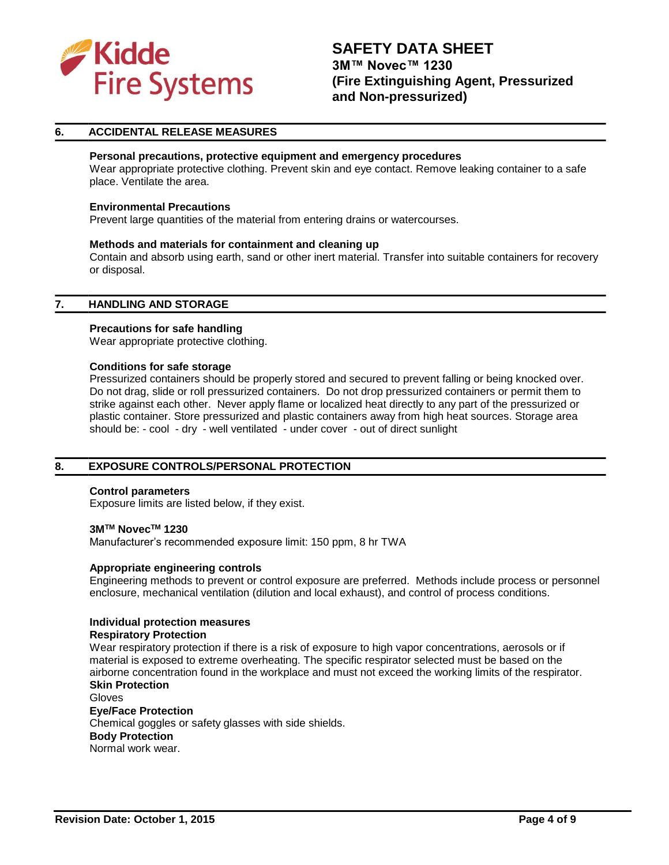

# **6. ACCIDENTAL RELEASE MEASURES**

# **Personal precautions, protective equipment and emergency procedures**

Wear appropriate protective clothing. Prevent skin and eye contact. Remove leaking container to a safe place. Ventilate the area.

#### **Environmental Precautions**

Prevent large quantities of the material from entering drains or watercourses.

#### **Methods and materials for containment and cleaning up**

Contain and absorb using earth, sand or other inert material. Transfer into suitable containers for recovery or disposal.

#### **7. HANDLING AND STORAGE**

#### **Precautions for safe handling**

Wear appropriate protective clothing.

#### **Conditions for safe storage**

Pressurized containers should be properly stored and secured to prevent falling or being knocked over. Do not drag, slide or roll pressurized containers. Do not drop pressurized containers or permit them to strike against each other. Never apply flame or localized heat directly to any part of the pressurized or plastic container. Store pressurized and plastic containers away from high heat sources. Storage area should be: - cool - dry - well ventilated - under cover - out of direct sunlight

# **8. EXPOSURE CONTROLS/PERSONAL PROTECTION**

#### **Control parameters**

Exposure limits are listed below, if they exist.

# **3MTM NovecTM 1230**

Manufacturer's recommended exposure limit: 150 ppm, 8 hr TWA

#### **Appropriate engineering controls**

Engineering methods to prevent or control exposure are preferred. Methods include process or personnel enclosure, mechanical ventilation (dilution and local exhaust), and control of process conditions.

#### **Individual protection measures**

#### **Respiratory Protection**

Wear respiratory protection if there is a risk of exposure to high vapor concentrations, aerosols or if material is exposed to extreme overheating. The specific respirator selected must be based on the airborne concentration found in the workplace and must not exceed the working limits of the respirator. **Skin Protection**

#### Gloves **Eye/Face Protection**

Chemical goggles or safety glasses with side shields. **Body Protection** Normal work wear.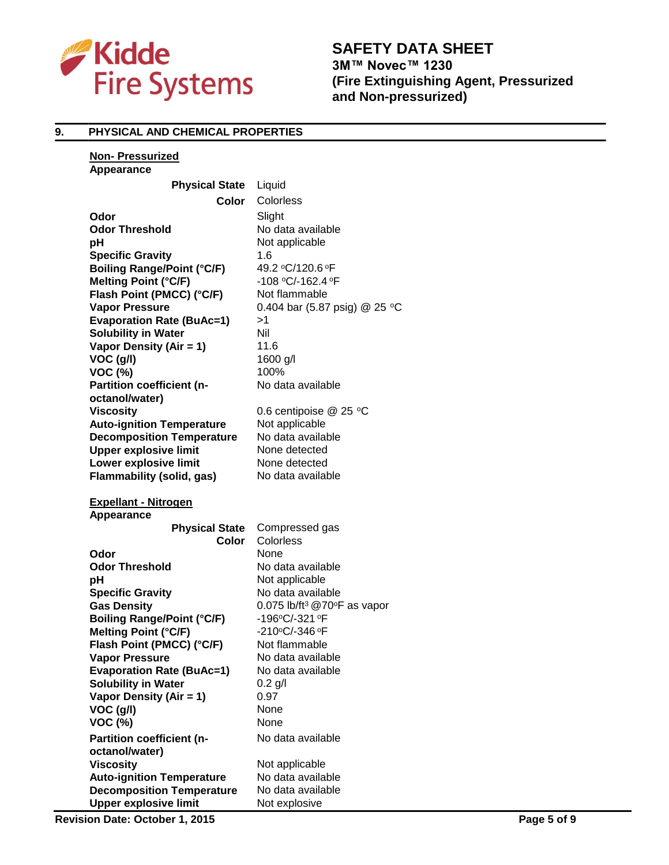

# **9. PHYSICAL AND CHEMICAL PROPERTIES**

| <b>Non-Pressurized</b>              |                                                   |
|-------------------------------------|---------------------------------------------------|
| <b>Appearance</b>                   |                                                   |
| <b>Physical State</b>               | Liquid                                            |
| Color                               | Colorless                                         |
| Odor                                | Slight                                            |
| <b>Odor Threshold</b>               | No data available                                 |
| рH                                  | Not applicable                                    |
| <b>Specific Gravity</b>             | 1.6                                               |
| <b>Boiling Range/Point (°C/F)</b>   | 49.2 °C/120.6 °F                                  |
| <b>Melting Point (°C/F)</b>         | -108 °C/-162.4 °F                                 |
| Flash Point (PMCC) (°C/F)           | Not flammable                                     |
| <b>Vapor Pressure</b>               | 0.404 bar (5.87 psig) @ 25 °C                     |
| <b>Evaporation Rate (BuAc=1)</b>    | >1                                                |
| <b>Solubility in Water</b>          | Nil                                               |
| Vapor Density (Air = 1)             | 11.6                                              |
| VOC (g/l)                           | 1600 g/l                                          |
| <b>VOC (%)</b>                      | 100%                                              |
| <b>Partition coefficient (n-</b>    | No data available                                 |
| octanol/water)                      |                                                   |
| <b>Viscosity</b>                    | 0.6 centipoise @ 25 °C                            |
| <b>Auto-ignition Temperature</b>    | Not applicable                                    |
| <b>Decomposition Temperature</b>    | No data available                                 |
| <b>Upper explosive limit</b>        | None detected                                     |
| Lower explosive limit               | None detected                                     |
| <b>Flammability (solid, gas)</b>    | No data available                                 |
| <b>Expellant - Nitrogen</b>         |                                                   |
| Appearance<br><b>Physical State</b> | Compressed gas                                    |
| Color                               | Colorless                                         |
| Odor                                | None                                              |
| <b>Odor Threshold</b>               | No data available                                 |
| рH                                  | Not applicable                                    |
| <b>Specific Gravity</b>             | No data available                                 |
| <b>Gas Density</b>                  | 0.075 lb/ft <sup>3</sup> @70 $\degree$ F as vapor |
| <b>Boiling Range/Point (°C/F)</b>   | -196°C/-321 °F                                    |
| <b>Melting Point (°C/F)</b>         | -210°C/-346 °F                                    |
| Flash Point (PMCC) (°C/F)           | Not flammable                                     |
| <b>Vapor Pressure</b>               | No data available                                 |
| <b>Evaporation Rate (BuAc=1)</b>    | No data available                                 |
| <b>Solubility in Water</b>          | $0.2$ g/l                                         |
| Vapor Density (Air = 1)             | 0.97                                              |
| VOC (g/l)                           | None                                              |
| <b>VOC (%)</b>                      | None                                              |
| <b>Partition coefficient (n-</b>    | No data available                                 |
| octanol/water)                      |                                                   |
| <b>Viscosity</b>                    | Not applicable                                    |
| <b>Auto-ignition Temperature</b>    | No data available                                 |

**Decomposition Temperature** No data available **Upper explosive limit** Not explosive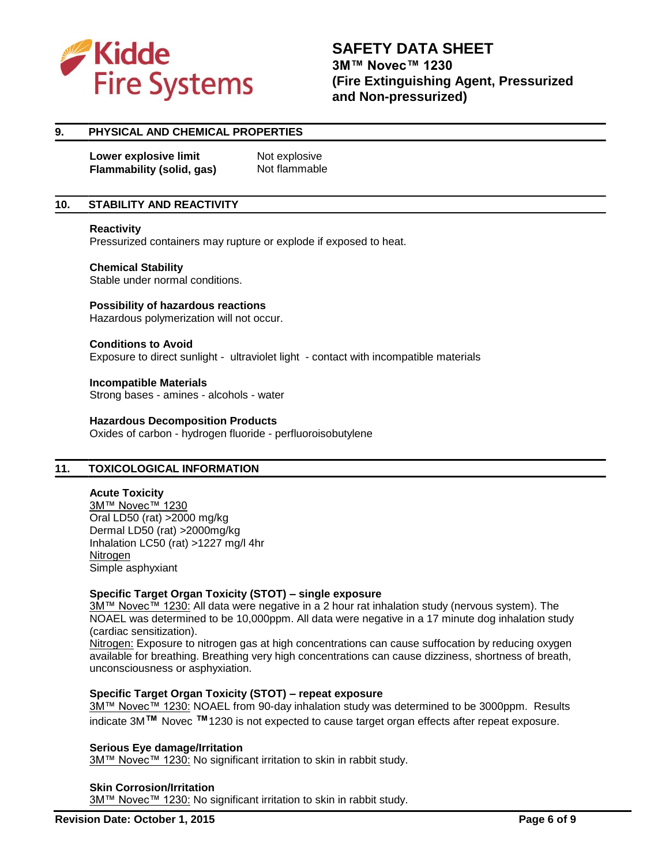

# **9. PHYSICAL AND CHEMICAL PROPERTIES**

| Lower explosive limit            | Not explosive |
|----------------------------------|---------------|
| <b>Flammability (solid, gas)</b> | Not flammable |

### **10. STABILITY AND REACTIVITY**

#### **Reactivity**

Pressurized containers may rupture or explode if exposed to heat.

#### **Chemical Stability**

Stable under normal conditions.

### **Possibility of hazardous reactions**

Hazardous polymerization will not occur.

# **Conditions to Avoid**

Exposure to direct sunlight - ultraviolet light - contact with incompatible materials

**Incompatible Materials** Strong bases - amines - alcohols - water

#### **Hazardous Decomposition Products** Oxides of carbon - hydrogen fluoride - perfluoroisobutylene

# **11. TOXICOLOGICAL INFORMATION**

#### **Acute Toxicity**

3M™ Novec™ 1230 Oral LD50 (rat) >2000 mg/kg Dermal LD50 (rat) >2000mg/kg Inhalation LC50 (rat) >1227 mg/l 4hr Nitrogen Simple asphyxiant

#### **Specific Target Organ Toxicity (STOT) – single exposure**

3M™ Novec™ 1230: All data were negative in a 2 hour rat inhalation study (nervous system). The NOAEL was determined to be 10,000ppm. All data were negative in a 17 minute dog inhalation study (cardiac sensitization).

Nitrogen: Exposure to nitrogen gas at high concentrations can cause suffocation by reducing oxygen available for breathing. Breathing very high concentrations can cause dizziness, shortness of breath, unconsciousness or asphyxiation.

#### **Specific Target Organ Toxicity (STOT) – repeat exposure**

3M™ Novec<sup>™</sup> 1230: NOAEL from 90-day inhalation study was determined to be 3000ppm. Results indicate 3M**™** Novec **™**1230 is not expected to cause target organ effects after repeat exposure.

# **Serious Eye damage/Irritation**

3M™ Novec™ 1230: No significant irritation to skin in rabbit study.

# **Skin Corrosion/Irritation** 3M™ Novec™ 1230: No significant irritation to skin in rabbit study.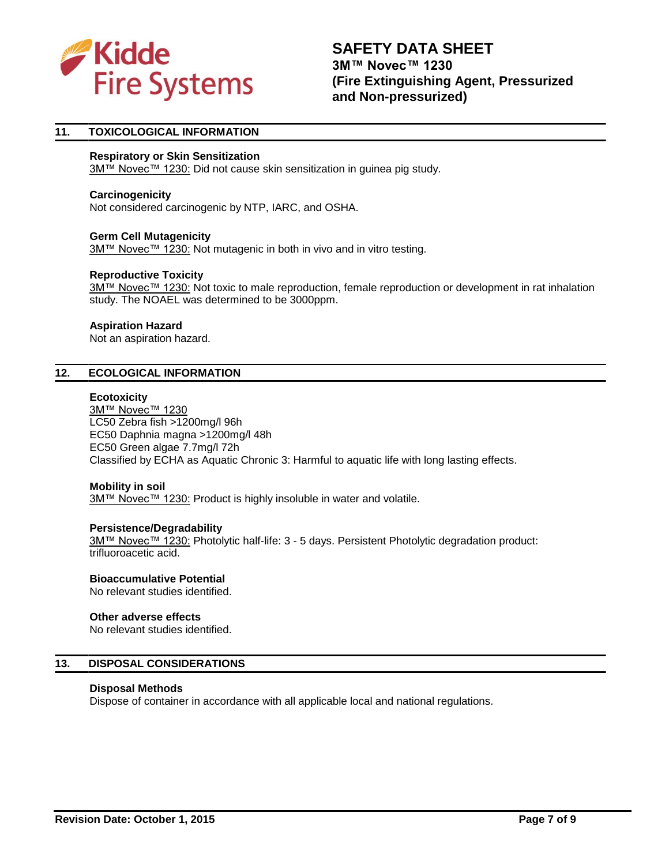

# **11. TOXICOLOGICAL INFORMATION**

## **Respiratory or Skin Sensitization**

3M™ Novec™ 1230: Did not cause skin sensitization in guinea pig study.

#### **Carcinogenicity**

Not considered carcinogenic by NTP, IARC, and OSHA.

### **Germ Cell Mutagenicity**

3M<sup>™</sup> Novec<sup>™</sup> 1230: Not mutagenic in both in vivo and in vitro testing.

### **Reproductive Toxicity**

3M™ Novec™ 1230: Not toxic to male reproduction, female reproduction or development in rat inhalation study. The NOAEL was determined to be 3000ppm.

### **Aspiration Hazard**

Not an aspiration hazard.

# **12. ECOLOGICAL INFORMATION**

#### **Ecotoxicity**

3M™ Novec™ 1230 LC50 Zebra fish >1200mg/l 96h EC50 Daphnia magna >1200mg/l 48h EC50 Green algae 7.7mg/l 72h Classified by ECHA as Aquatic Chronic 3: Harmful to aquatic life with long lasting effects.

# **Mobility in soil**

3M™ Novec™ 1230: Product is highly insoluble in water and volatile.

#### **Persistence/Degradability**

3M™ Novec™ 1230: Photolytic half-life: 3 - 5 days. Persistent Photolytic degradation product: trifluoroacetic acid.

# **Bioaccumulative Potential**

No relevant studies identified.

#### **Other adverse effects**

No relevant studies identified.

# **13. DISPOSAL CONSIDERATIONS**

#### **Disposal Methods**

Dispose of container in accordance with all applicable local and national regulations.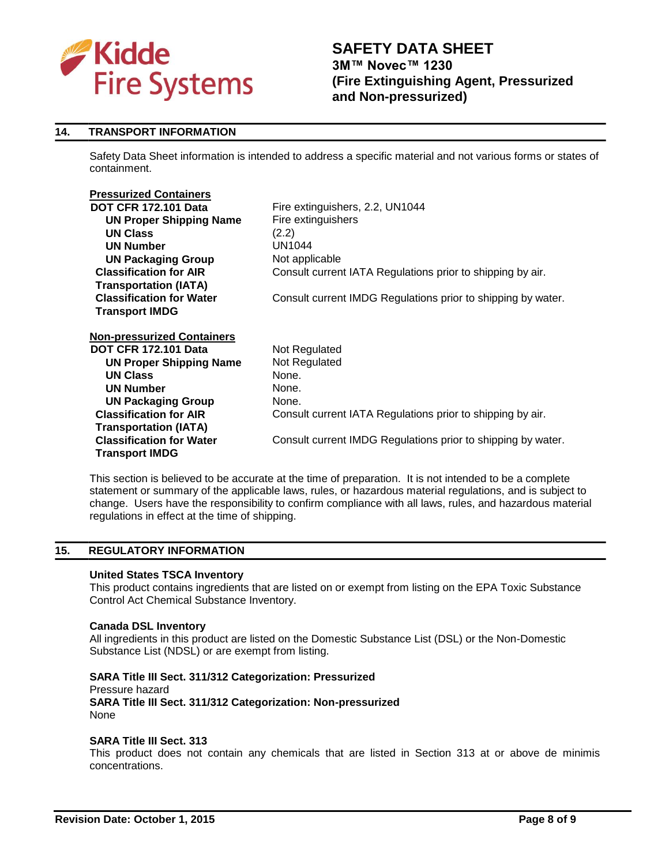

# **14. TRANSPORT INFORMATION**

Safety Data Sheet information is intended to address a specific material and not various forms or states of containment.

# **Pressurized Containers**

| <b>DOT CFR 172.101 Data</b>                                      | Fire extinguishers, 2.2, UN1044                              |
|------------------------------------------------------------------|--------------------------------------------------------------|
| <b>UN Proper Shipping Name</b>                                   | Fire extinguishers                                           |
| <b>UN Class</b>                                                  | (2.2)                                                        |
| <b>UN Number</b>                                                 | UN1044                                                       |
| <b>UN Packaging Group</b>                                        | Not applicable                                               |
| <b>Classification for AIR</b>                                    | Consult current IATA Regulations prior to shipping by air.   |
| <b>Transportation (IATA)</b>                                     |                                                              |
| <b>Classification for Water</b>                                  | Consult current IMDG Regulations prior to shipping by water. |
| <b>Transport IMDG</b>                                            |                                                              |
| <b>Non-pressurized Containers</b><br><b>DOT CFR 172.101 Data</b> | Not Regulated                                                |
| <b>UN Proper Shipping Name</b>                                   | Not Regulated                                                |
| <b>UN Class</b>                                                  | None.                                                        |
| <b>UN Number</b>                                                 | None.                                                        |
| <b>UN Packaging Group</b>                                        | None.                                                        |
| <b>Classification for AIR</b>                                    | Consult current IATA Regulations prior to shipping by air.   |
| <b>Transportation (IATA)</b>                                     |                                                              |
| <b>Classification for Water</b>                                  | Consult current IMDG Regulations prior to shipping by water. |
| <b>Transport IMDG</b>                                            |                                                              |

This section is believed to be accurate at the time of preparation. It is not intended to be a complete statement or summary of the applicable laws, rules, or hazardous material regulations, and is subject to change. Users have the responsibility to confirm compliance with all laws, rules, and hazardous material regulations in effect at the time of shipping.

#### **15. REGULATORY INFORMATION**

#### **United States TSCA Inventory**

This product contains ingredients that are listed on or exempt from listing on the EPA Toxic Substance Control Act Chemical Substance Inventory.

#### **Canada DSL Inventory**

All ingredients in this product are listed on the Domestic Substance List (DSL) or the Non-Domestic Substance List (NDSL) or are exempt from listing.

# **SARA Title III Sect. 311/312 Categorization: Pressurized**

Pressure hazard

**SARA Title III Sect. 311/312 Categorization: Non-pressurized** None

# **SARA Title III Sect. 313**

This product does not contain any chemicals that are listed in Section 313 at or above de minimis concentrations.